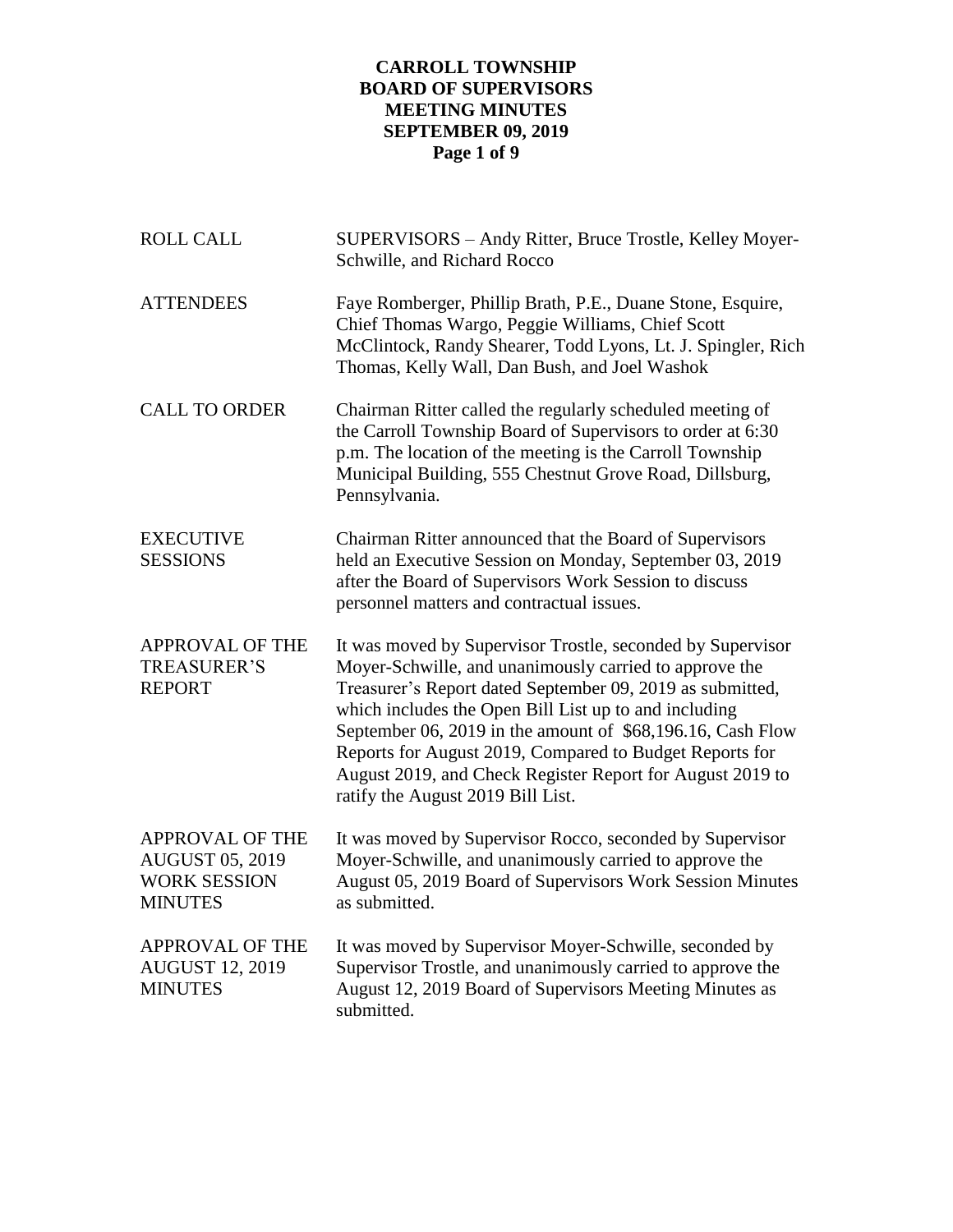# **CARROLL TOWNSHIP BOARD OF SUPERVISORS MEETING MINUTES SEPTEMBER 09, 2019 Page 1 of 9**

| <b>ROLL CALL</b>                                                                          | SUPERVISORS - Andy Ritter, Bruce Trostle, Kelley Moyer-<br>Schwille, and Richard Rocco                                                                                                                                                                                                                                                                                                                                                                                |
|-------------------------------------------------------------------------------------------|-----------------------------------------------------------------------------------------------------------------------------------------------------------------------------------------------------------------------------------------------------------------------------------------------------------------------------------------------------------------------------------------------------------------------------------------------------------------------|
| <b>ATTENDEES</b>                                                                          | Faye Romberger, Phillip Brath, P.E., Duane Stone, Esquire,<br>Chief Thomas Wargo, Peggie Williams, Chief Scott<br>McClintock, Randy Shearer, Todd Lyons, Lt. J. Spingler, Rich<br>Thomas, Kelly Wall, Dan Bush, and Joel Washok                                                                                                                                                                                                                                       |
| <b>CALL TO ORDER</b>                                                                      | Chairman Ritter called the regularly scheduled meeting of<br>the Carroll Township Board of Supervisors to order at 6:30<br>p.m. The location of the meeting is the Carroll Township<br>Municipal Building, 555 Chestnut Grove Road, Dillsburg,<br>Pennsylvania.                                                                                                                                                                                                       |
| <b>EXECUTIVE</b><br><b>SESSIONS</b>                                                       | Chairman Ritter announced that the Board of Supervisors<br>held an Executive Session on Monday, September 03, 2019<br>after the Board of Supervisors Work Session to discuss<br>personnel matters and contractual issues.                                                                                                                                                                                                                                             |
| <b>APPROVAL OF THE</b><br><b>TREASURER'S</b><br><b>REPORT</b>                             | It was moved by Supervisor Trostle, seconded by Supervisor<br>Moyer-Schwille, and unanimously carried to approve the<br>Treasurer's Report dated September 09, 2019 as submitted,<br>which includes the Open Bill List up to and including<br>September 06, 2019 in the amount of \$68,196.16, Cash Flow<br>Reports for August 2019, Compared to Budget Reports for<br>August 2019, and Check Register Report for August 2019 to<br>ratify the August 2019 Bill List. |
| <b>APPROVAL OF THE</b><br><b>AUGUST 05, 2019</b><br><b>WORK SESSION</b><br><b>MINUTES</b> | It was moved by Supervisor Rocco, seconded by Supervisor<br>Moyer-Schwille, and unanimously carried to approve the<br>August 05, 2019 Board of Supervisors Work Session Minutes<br>as submitted.                                                                                                                                                                                                                                                                      |
| <b>APPROVAL OF THE</b><br><b>AUGUST 12, 2019</b><br><b>MINUTES</b>                        | It was moved by Supervisor Moyer-Schwille, seconded by<br>Supervisor Trostle, and unanimously carried to approve the<br>August 12, 2019 Board of Supervisors Meeting Minutes as<br>submitted.                                                                                                                                                                                                                                                                         |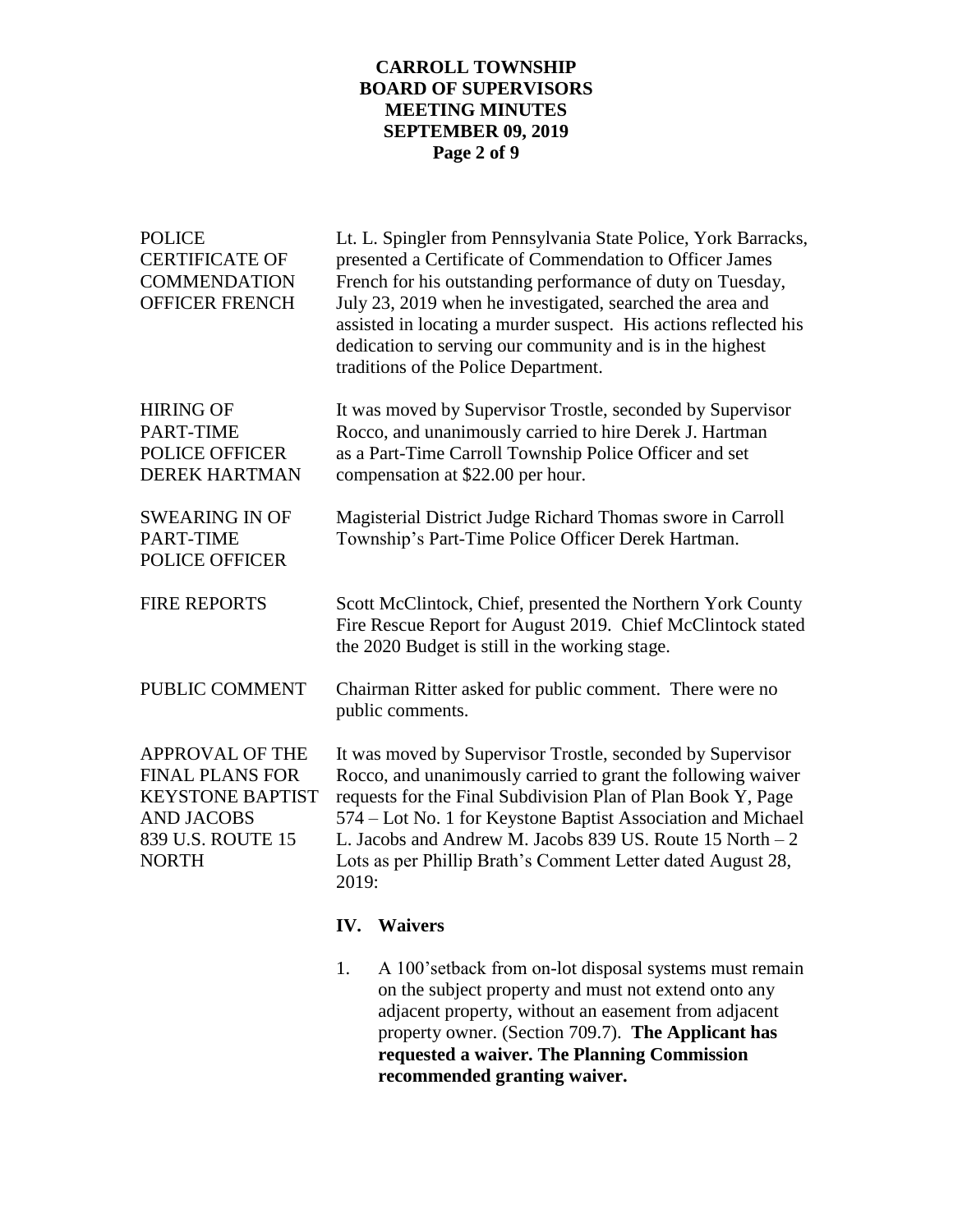### **CARROLL TOWNSHIP BOARD OF SUPERVISORS MEETING MINUTES SEPTEMBER 09, 2019 Page 2 of 9**

| <b>POLICE</b><br><b>CERTIFICATE OF</b><br><b>COMMENDATION</b><br><b>OFFICER FRENCH</b>                                         |                                                                                                                                                                                                                                                                                                                                                                                                 | Lt. L. Spingler from Pennsylvania State Police, York Barracks,<br>presented a Certificate of Commendation to Officer James<br>French for his outstanding performance of duty on Tuesday,<br>July 23, 2019 when he investigated, searched the area and<br>assisted in locating a murder suspect. His actions reflected his<br>dedication to serving our community and is in the highest<br>traditions of the Police Department. |
|--------------------------------------------------------------------------------------------------------------------------------|-------------------------------------------------------------------------------------------------------------------------------------------------------------------------------------------------------------------------------------------------------------------------------------------------------------------------------------------------------------------------------------------------|--------------------------------------------------------------------------------------------------------------------------------------------------------------------------------------------------------------------------------------------------------------------------------------------------------------------------------------------------------------------------------------------------------------------------------|
| <b>HIRING OF</b><br>PART-TIME<br><b>POLICE OFFICER</b><br><b>DEREK HARTMAN</b>                                                 |                                                                                                                                                                                                                                                                                                                                                                                                 | It was moved by Supervisor Trostle, seconded by Supervisor<br>Rocco, and unanimously carried to hire Derek J. Hartman<br>as a Part-Time Carroll Township Police Officer and set<br>compensation at \$22.00 per hour.                                                                                                                                                                                                           |
| <b>SWEARING IN OF</b><br>PART-TIME<br><b>POLICE OFFICER</b>                                                                    | Magisterial District Judge Richard Thomas swore in Carroll<br>Township's Part-Time Police Officer Derek Hartman.                                                                                                                                                                                                                                                                                |                                                                                                                                                                                                                                                                                                                                                                                                                                |
| <b>FIRE REPORTS</b>                                                                                                            |                                                                                                                                                                                                                                                                                                                                                                                                 | Scott McClintock, Chief, presented the Northern York County<br>Fire Rescue Report for August 2019. Chief McClintock stated<br>the 2020 Budget is still in the working stage.                                                                                                                                                                                                                                                   |
| PUBLIC COMMENT                                                                                                                 |                                                                                                                                                                                                                                                                                                                                                                                                 | Chairman Ritter asked for public comment. There were no<br>public comments.                                                                                                                                                                                                                                                                                                                                                    |
| APPROVAL OF THE<br><b>FINAL PLANS FOR</b><br><b>KEYSTONE BAPTIST</b><br><b>AND JACOBS</b><br>839 U.S. ROUTE 15<br><b>NORTH</b> | It was moved by Supervisor Trostle, seconded by Supervisor<br>Rocco, and unanimously carried to grant the following waiver<br>requests for the Final Subdivision Plan of Plan Book Y, Page<br>574 – Lot No. 1 for Keystone Baptist Association and Michael<br>L. Jacobs and Andrew M. Jacobs 839 US. Route 15 North - 2<br>Lots as per Phillip Brath's Comment Letter dated August 28,<br>2019: |                                                                                                                                                                                                                                                                                                                                                                                                                                |
|                                                                                                                                |                                                                                                                                                                                                                                                                                                                                                                                                 | <b>IV.</b> Waivers                                                                                                                                                                                                                                                                                                                                                                                                             |
|                                                                                                                                | 1.                                                                                                                                                                                                                                                                                                                                                                                              | A 100'setback from on-lot disposal systems must remain<br>on the subject property and must not extend onto any                                                                                                                                                                                                                                                                                                                 |

on the subject property and must not extend onto any adjacent property, without an easement from adjacent property owner. (Section 709.7). **The Applicant has requested a waiver. The Planning Commission recommended granting waiver.**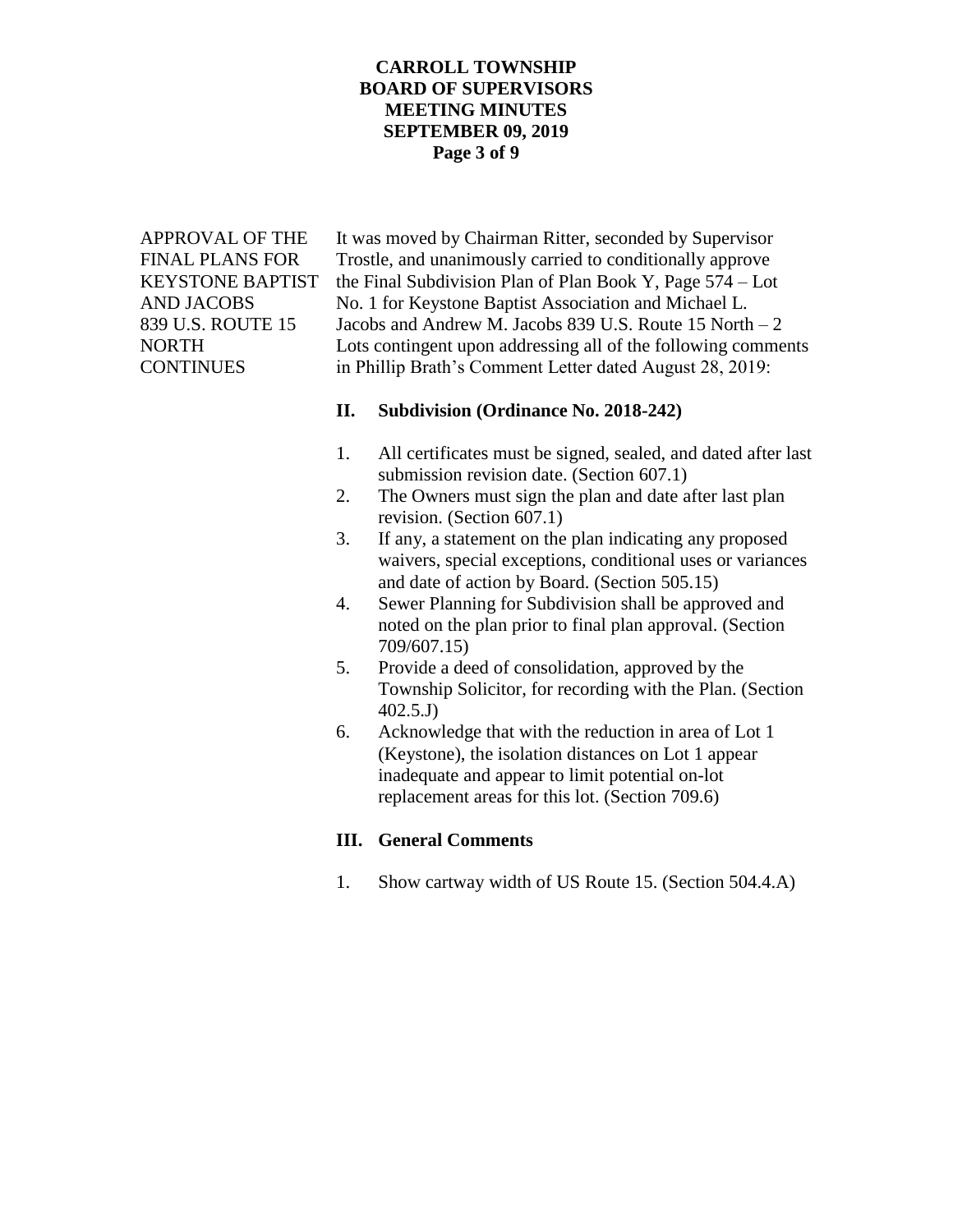### **CARROLL TOWNSHIP BOARD OF SUPERVISORS MEETING MINUTES SEPTEMBER 09, 2019 Page 3 of 9**

APPROVAL OF THE It was moved by Chairman Ritter, seconded by Supervisor FINAL PLANS FOR Trostle, and unanimously carried to conditionally approve KEYSTONE BAPTIST the Final Subdivision Plan of Plan Book Y, Page 574 – Lot AND JACOBS No. 1 for Keystone Baptist Association and Michael L. 839 U.S. ROUTE 15 Jacobs and Andrew M. Jacobs 839 U.S. Route 15 North – 2 NORTH Lots contingent upon addressing all of the following comments CONTINUES in Phillip Brath's Comment Letter dated August 28, 2019:

#### **II. Subdivision (Ordinance No. 2018-242)**

- 1. All certificates must be signed, sealed, and dated after last submission revision date. (Section 607.1)
- 2. The Owners must sign the plan and date after last plan revision. (Section 607.1)
- 3. If any, a statement on the plan indicating any proposed waivers, special exceptions, conditional uses or variances and date of action by Board. (Section 505.15)
- 4. Sewer Planning for Subdivision shall be approved and noted on the plan prior to final plan approval. (Section 709/607.15)
- 5. Provide a deed of consolidation, approved by the Township Solicitor, for recording with the Plan. (Section 402.5.J)
- 6. Acknowledge that with the reduction in area of Lot 1 (Keystone), the isolation distances on Lot 1 appear inadequate and appear to limit potential on-lot replacement areas for this lot. (Section 709.6)

# **III. General Comments**

1. Show cartway width of US Route 15. (Section 504.4.A)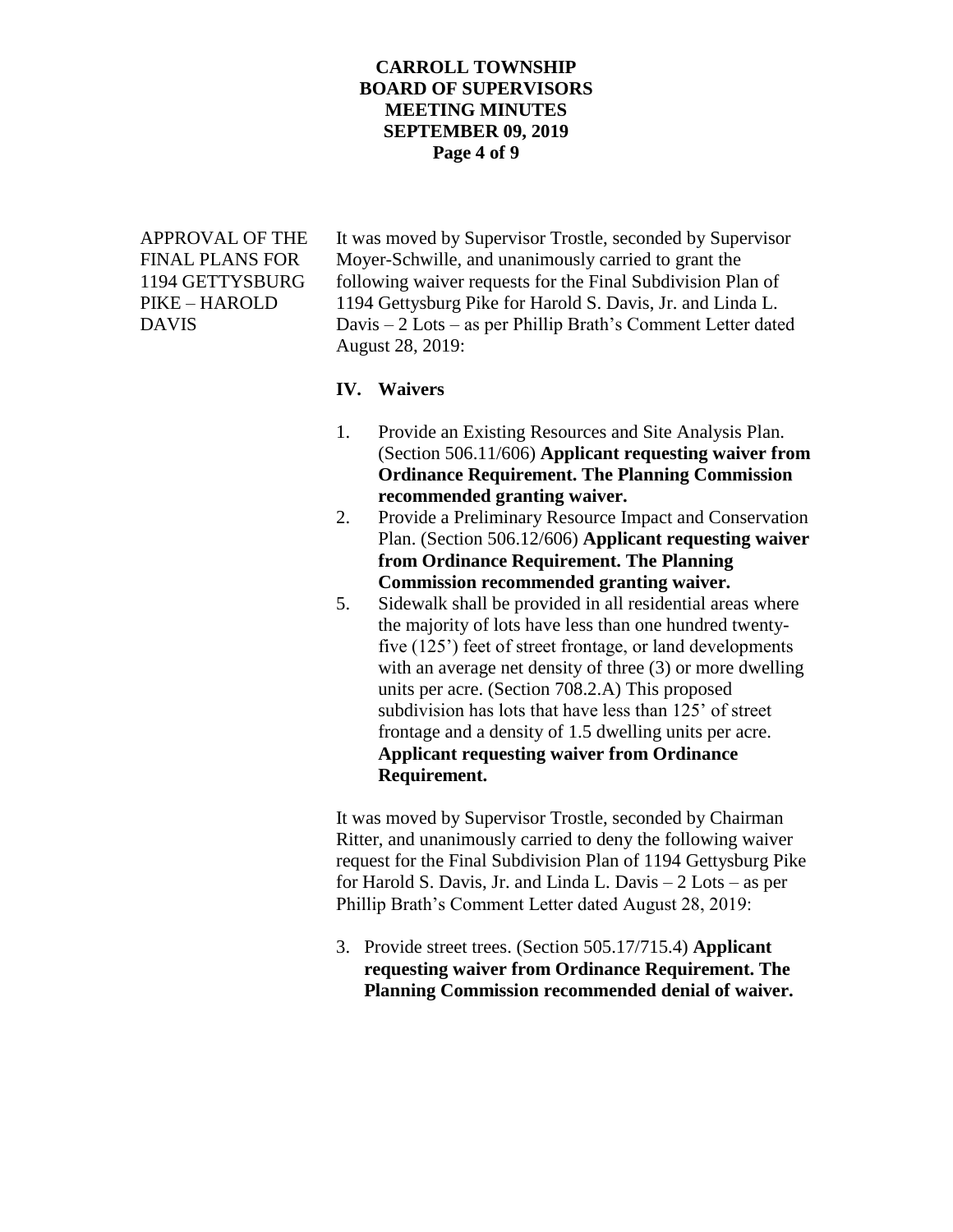### **CARROLL TOWNSHIP BOARD OF SUPERVISORS MEETING MINUTES SEPTEMBER 09, 2019 Page 4 of 9**

APPROVAL OF THE It was moved by Supervisor Trostle, seconded by Supervisor FINAL PLANS FOR Moyer-Schwille, and unanimously carried to grant the 1194 GETTYSBURG following waiver requests for the Final Subdivision Plan of PIKE – HAROLD 1194 Gettysburg Pike for Harold S. Davis, Jr. and Linda L. DAVIS Davis – 2 Lots – as per Phillip Brath's Comment Letter dated August 28, 2019:

#### **IV. Waivers**

- 1. Provide an Existing Resources and Site Analysis Plan. (Section 506.11/606) **Applicant requesting waiver from Ordinance Requirement. The Planning Commission recommended granting waiver.**
- 2. Provide a Preliminary Resource Impact and Conservation Plan. (Section 506.12/606) **Applicant requesting waiver from Ordinance Requirement. The Planning Commission recommended granting waiver.**
- 5. Sidewalk shall be provided in all residential areas where the majority of lots have less than one hundred twentyfive (125') feet of street frontage, or land developments with an average net density of three (3) or more dwelling units per acre. (Section 708.2.A) This proposed subdivision has lots that have less than 125' of street frontage and a density of 1.5 dwelling units per acre. **Applicant requesting waiver from Ordinance Requirement.**

It was moved by Supervisor Trostle, seconded by Chairman Ritter, and unanimously carried to deny the following waiver request for the Final Subdivision Plan of 1194 Gettysburg Pike for Harold S. Davis, Jr. and Linda L. Davis – 2 Lots – as per Phillip Brath's Comment Letter dated August 28, 2019:

3. Provide street trees. (Section 505.17/715.4) **Applicant requesting waiver from Ordinance Requirement. The Planning Commission recommended denial of waiver.**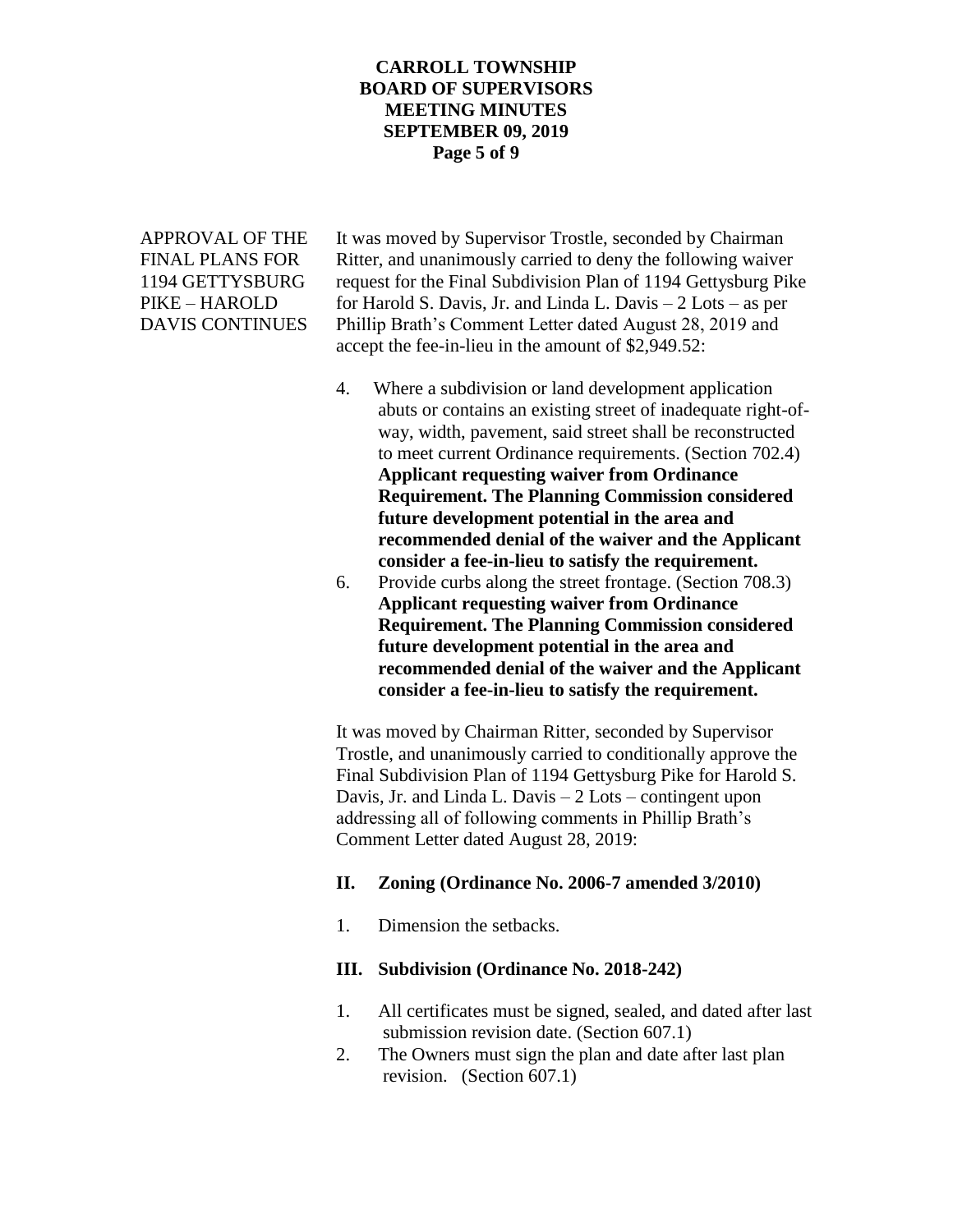### **CARROLL TOWNSHIP BOARD OF SUPERVISORS MEETING MINUTES SEPTEMBER 09, 2019 Page 5 of 9**

APPROVAL OF THE It was moved by Supervisor Trostle, seconded by Chairman FINAL PLANS FOR Ritter, and unanimously carried to deny the following waiver 1194 GETTYSBURG request for the Final Subdivision Plan of 1194 Gettysburg Pike  $PIKE - HAROLD$  for Harold S. Davis, Jr. and Linda L. Davis  $-2$  Lots – as per DAVIS CONTINUES Phillip Brath's Comment Letter dated August 28, 2019 and accept the fee-in-lieu in the amount of \$2,949.52:

- 4. Where a subdivision or land development application abuts or contains an existing street of inadequate right-ofway, width, pavement, said street shall be reconstructed to meet current Ordinance requirements. (Section 702.4) **Applicant requesting waiver from Ordinance Requirement. The Planning Commission considered future development potential in the area and recommended denial of the waiver and the Applicant consider a fee-in-lieu to satisfy the requirement.**
- 6. Provide curbs along the street frontage. (Section 708.3) **Applicant requesting waiver from Ordinance Requirement. The Planning Commission considered future development potential in the area and recommended denial of the waiver and the Applicant consider a fee-in-lieu to satisfy the requirement.**

It was moved by Chairman Ritter, seconded by Supervisor Trostle, and unanimously carried to conditionally approve the Final Subdivision Plan of 1194 Gettysburg Pike for Harold S. Davis, Jr. and Linda L. Davis – 2 Lots – contingent upon addressing all of following comments in Phillip Brath's Comment Letter dated August 28, 2019:

#### **II. Zoning (Ordinance No. 2006-7 amended 3/2010)**

1. Dimension the setbacks.

#### **III. Subdivision (Ordinance No. 2018-242)**

- 1. All certificates must be signed, sealed, and dated after last submission revision date. (Section 607.1)
- 2. The Owners must sign the plan and date after last plan revision. (Section 607.1)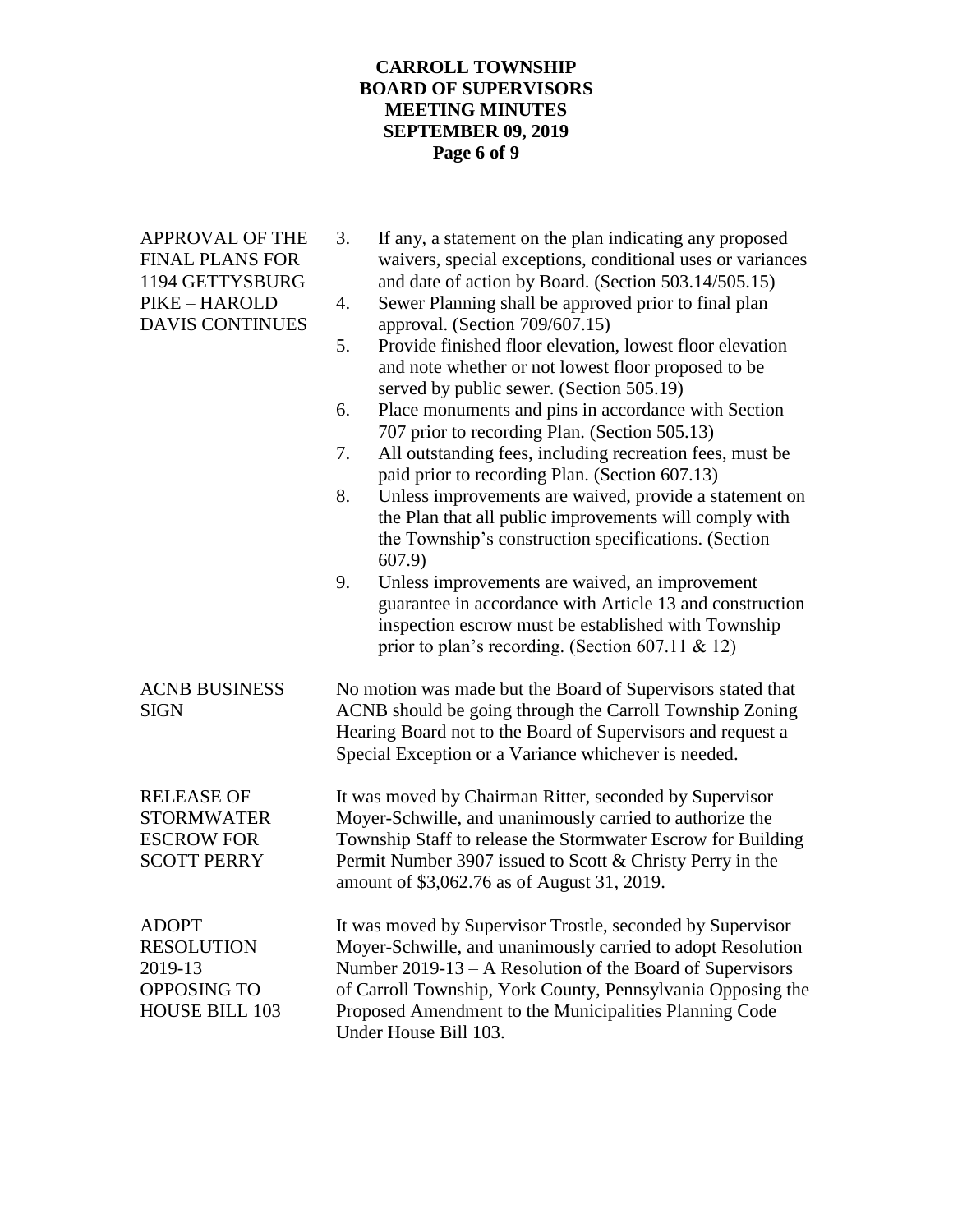# **CARROLL TOWNSHIP BOARD OF SUPERVISORS MEETING MINUTES SEPTEMBER 09, 2019 Page 6 of 9**

| <b>APPROVAL OF THE</b><br><b>FINAL PLANS FOR</b><br>1194 GETTYSBURG<br>PIKE - HAROLD<br><b>DAVIS CONTINUES</b> | 3.<br>If any, a statement on the plan indicating any proposed<br>waivers, special exceptions, conditional uses or variances<br>and date of action by Board. (Section 503.14/505.15)<br>Sewer Planning shall be approved prior to final plan<br>4.<br>approval. (Section 709/607.15)<br>Provide finished floor elevation, lowest floor elevation<br>5.<br>and note whether or not lowest floor proposed to be<br>served by public sewer. (Section 505.19)<br>Place monuments and pins in accordance with Section<br>6.<br>707 prior to recording Plan. (Section 505.13)<br>7.<br>All outstanding fees, including recreation fees, must be<br>paid prior to recording Plan. (Section 607.13)<br>8.<br>Unless improvements are waived, provide a statement on<br>the Plan that all public improvements will comply with<br>the Township's construction specifications. (Section<br>607.9<br>9.<br>Unless improvements are waived, an improvement<br>guarantee in accordance with Article 13 and construction<br>inspection escrow must be established with Township<br>prior to plan's recording. (Section 607.11 & 12) |
|----------------------------------------------------------------------------------------------------------------|----------------------------------------------------------------------------------------------------------------------------------------------------------------------------------------------------------------------------------------------------------------------------------------------------------------------------------------------------------------------------------------------------------------------------------------------------------------------------------------------------------------------------------------------------------------------------------------------------------------------------------------------------------------------------------------------------------------------------------------------------------------------------------------------------------------------------------------------------------------------------------------------------------------------------------------------------------------------------------------------------------------------------------------------------------------------------------------------------------------------|
| <b>ACNB BUSINESS</b><br><b>SIGN</b>                                                                            | No motion was made but the Board of Supervisors stated that<br>ACNB should be going through the Carroll Township Zoning<br>Hearing Board not to the Board of Supervisors and request a<br>Special Exception or a Variance whichever is needed.                                                                                                                                                                                                                                                                                                                                                                                                                                                                                                                                                                                                                                                                                                                                                                                                                                                                       |
| <b>RELEASE OF</b><br><b>STORMWATER</b><br><b>ESCROW FOR</b><br><b>SCOTT PERRY</b>                              | It was moved by Chairman Ritter, seconded by Supervisor<br>Moyer-Schwille, and unanimously carried to authorize the<br>Township Staff to release the Stormwater Escrow for Building<br>Permit Number 3907 issued to Scott & Christy Perry in the<br>amount of \$3,062.76 as of August 31, 2019.                                                                                                                                                                                                                                                                                                                                                                                                                                                                                                                                                                                                                                                                                                                                                                                                                      |
| <b>ADOPT</b><br><b>RESOLUTION</b><br>2019-13<br>OPPOSING TO<br><b>HOUSE BILL 103</b>                           | It was moved by Supervisor Trostle, seconded by Supervisor<br>Moyer-Schwille, and unanimously carried to adopt Resolution<br>Number $2019-13 - A$ Resolution of the Board of Supervisors<br>of Carroll Township, York County, Pennsylvania Opposing the<br>Proposed Amendment to the Municipalities Planning Code<br>Under House Bill 103.                                                                                                                                                                                                                                                                                                                                                                                                                                                                                                                                                                                                                                                                                                                                                                           |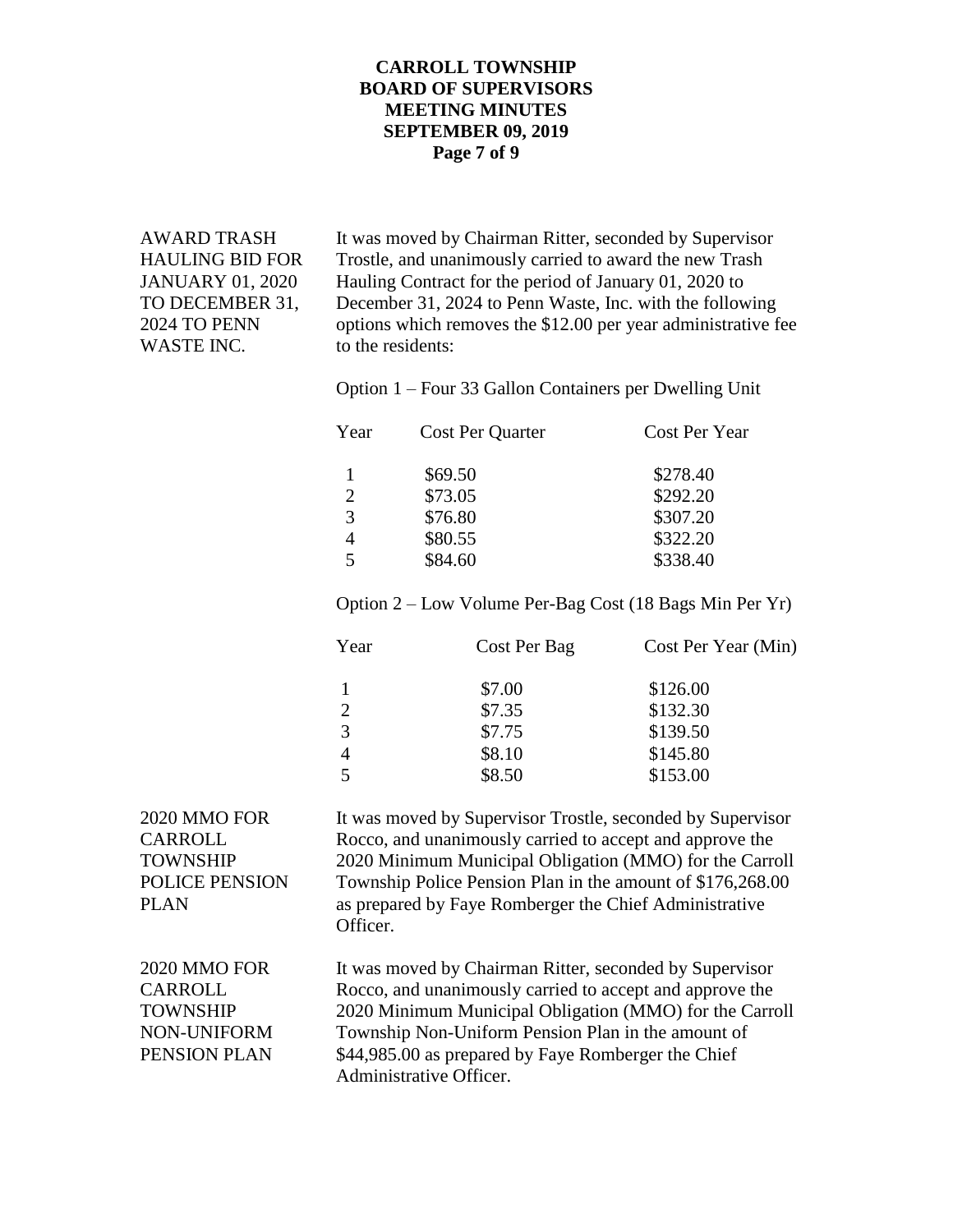### **CARROLL TOWNSHIP BOARD OF SUPERVISORS MEETING MINUTES SEPTEMBER 09, 2019 Page 7 of 9**

WASTE INC. to the residents:

AWARD TRASH It was moved by Chairman Ritter, seconded by Supervisor HAULING BID FOR Trostle, and unanimously carried to award the new Trash JANUARY 01, 2020 Hauling Contract for the period of January 01, 2020 to TO DECEMBER 31, December 31, 2024 to Penn Waste, Inc. with the following 2024 TO PENN options which removes the \$12.00 per year administrative fee

Option 1 – Four 33 Gallon Containers per Dwelling Unit

| Year | Cost Per Quarter | Cost Per Year |  |
|------|------------------|---------------|--|
|      | \$69.50          | \$278.40      |  |
| 2    | \$73.05          | \$292.20      |  |
| 3    | \$76.80          | \$307.20      |  |
|      | \$80.55          | \$322.20      |  |
| 5    | \$84.60          | \$338.40      |  |
|      |                  |               |  |

Option 2 – Low Volume Per-Bag Cost (18 Bags Min Per Yr)

| Year | Cost Per Bag | Cost Per Year (Min) |
|------|--------------|---------------------|
|      | \$7.00       | \$126.00            |
| 2    | \$7.35       | \$132.30            |
| 3    | \$7.75       | \$139.50            |
| 4    | \$8.10       | \$145.80            |
|      | \$8.50       | \$153.00            |

2020 MMO FOR It was moved by Supervisor Trostle, seconded by Supervisor CARROLL Rocco, and unanimously carried to accept and approve the TOWNSHIP 2020 Minimum Municipal Obligation (MMO) for the Carroll POLICE PENSION Township Police Pension Plan in the amount of \$176,268.00 PLAN as prepared by Faye Romberger the Chief Administrative Officer. 2020 MMO FOR It was moved by Chairman Ritter, seconded by Supervisor CARROLL Rocco, and unanimously carried to accept and approve the TOWNSHIP 2020 Minimum Municipal Obligation (MMO) for the Carroll NON-UNIFORM Township Non-Uniform Pension Plan in the amount of PENSION PLAN \$44,985.00 as prepared by Faye Romberger the Chief Administrative Officer.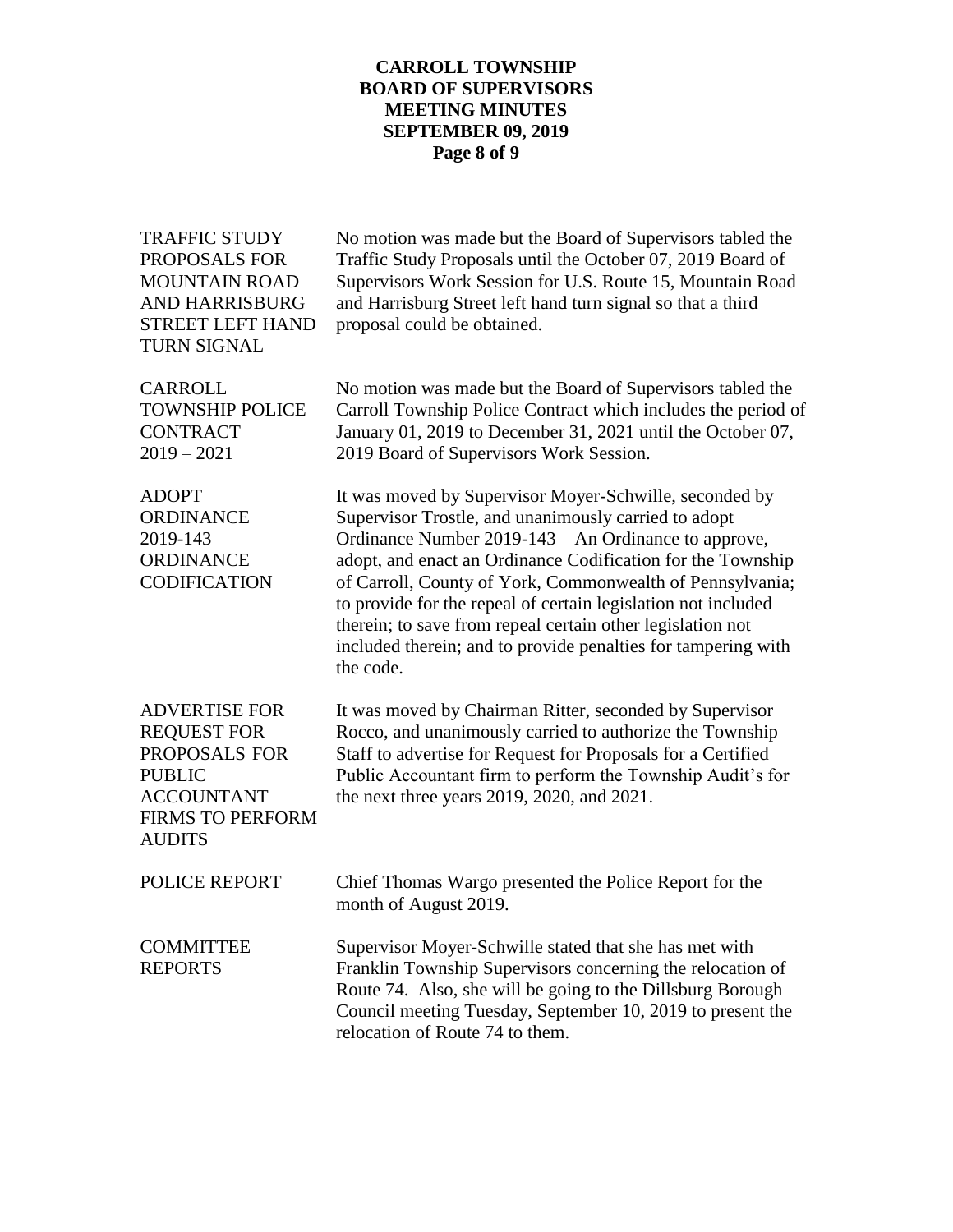# **CARROLL TOWNSHIP BOARD OF SUPERVISORS MEETING MINUTES SEPTEMBER 09, 2019 Page 8 of 9**

| <b>TRAFFIC STUDY</b><br>PROPOSALS FOR<br><b>MOUNTAIN ROAD</b><br><b>AND HARRISBURG</b><br><b>STREET LEFT HAND</b><br><b>TURN SIGNAL</b>       | No motion was made but the Board of Supervisors tabled the<br>Traffic Study Proposals until the October 07, 2019 Board of<br>Supervisors Work Session for U.S. Route 15, Mountain Road<br>and Harrisburg Street left hand turn signal so that a third<br>proposal could be obtained.                                                                                                                                                                                                                            |
|-----------------------------------------------------------------------------------------------------------------------------------------------|-----------------------------------------------------------------------------------------------------------------------------------------------------------------------------------------------------------------------------------------------------------------------------------------------------------------------------------------------------------------------------------------------------------------------------------------------------------------------------------------------------------------|
| <b>CARROLL</b><br><b>TOWNSHIP POLICE</b><br><b>CONTRACT</b><br>$2019 - 2021$                                                                  | No motion was made but the Board of Supervisors tabled the<br>Carroll Township Police Contract which includes the period of<br>January 01, 2019 to December 31, 2021 until the October 07,<br>2019 Board of Supervisors Work Session.                                                                                                                                                                                                                                                                           |
| <b>ADOPT</b><br><b>ORDINANCE</b><br>2019-143<br><b>ORDINANCE</b><br><b>CODIFICATION</b>                                                       | It was moved by Supervisor Moyer-Schwille, seconded by<br>Supervisor Trostle, and unanimously carried to adopt<br>Ordinance Number 2019-143 – An Ordinance to approve,<br>adopt, and enact an Ordinance Codification for the Township<br>of Carroll, County of York, Commonwealth of Pennsylvania;<br>to provide for the repeal of certain legislation not included<br>therein; to save from repeal certain other legislation not<br>included therein; and to provide penalties for tampering with<br>the code. |
| <b>ADVERTISE FOR</b><br><b>REQUEST FOR</b><br>PROPOSALS FOR<br><b>PUBLIC</b><br><b>ACCOUNTANT</b><br><b>FIRMS TO PERFORM</b><br><b>AUDITS</b> | It was moved by Chairman Ritter, seconded by Supervisor<br>Rocco, and unanimously carried to authorize the Township<br>Staff to advertise for Request for Proposals for a Certified<br>Public Accountant firm to perform the Township Audit's for<br>the next three years 2019, 2020, and 2021.                                                                                                                                                                                                                 |
| <b>POLICE REPORT</b>                                                                                                                          | Chief Thomas Wargo presented the Police Report for the<br>month of August 2019.                                                                                                                                                                                                                                                                                                                                                                                                                                 |
| <b>COMMITTEE</b><br><b>REPORTS</b>                                                                                                            | Supervisor Moyer-Schwille stated that she has met with<br>Franklin Township Supervisors concerning the relocation of<br>Route 74. Also, she will be going to the Dillsburg Borough<br>Council meeting Tuesday, September 10, 2019 to present the<br>relocation of Route 74 to them.                                                                                                                                                                                                                             |